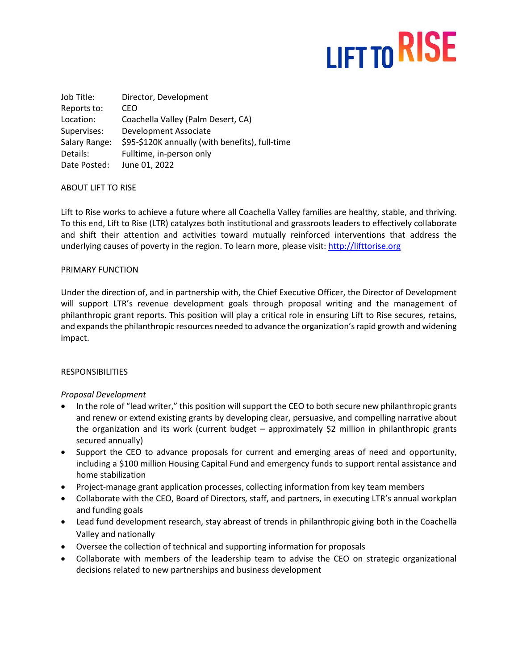# LIFT TO RISE

Job Title: Director, Development Reports to: CEO Location: Coachella Valley (Palm Desert, CA) Supervises: Development Associate Salary Range: \$95-\$120K annually (with benefits), full-time Details: Fulltime, in-person only Date Posted: June 01, 2022

### ABOUT LIFT TO RISE

Lift to Rise works to achieve a future where all Coachella Valley families are healthy, stable, and thriving. To this end, Lift to Rise (LTR) catalyzes both institutional and grassroots leaders to effectively collaborate and shift their attention and activities toward mutually reinforced interventions that address the underlying causes of poverty in the region. To learn more, please visit: [http://lifttorise.org](http://lifttorise.org/)

### PRIMARY FUNCTION

Under the direction of, and in partnership with, the Chief Executive Officer, the Director of Development will support LTR's revenue development goals through proposal writing and the management of philanthropic grant reports. This position will play a critical role in ensuring Lift to Rise secures, retains, and expands the philanthropic resources needed to advance the organization's rapid growth and widening impact.

### RESPONSIBILITIES

### *Proposal Development*

- In the role of "lead writer," this position will support the CEO to both secure new philanthropic grants and renew or extend existing grants by developing clear, persuasive, and compelling narrative about the organization and its work (current budget – approximately \$2 million in philanthropic grants secured annually)
- Support the CEO to advance proposals for current and emerging areas of need and opportunity, including a \$100 million Housing Capital Fund and emergency funds to support rental assistance and home stabilization
- Project-manage grant application processes, collecting information from key team members
- Collaborate with the CEO, Board of Directors, staff, and partners, in executing LTR's annual workplan and funding goals
- Lead fund development research, stay abreast of trends in philanthropic giving both in the Coachella Valley and nationally
- Oversee the collection of technical and supporting information for proposals
- Collaborate with members of the leadership team to advise the CEO on strategic organizational decisions related to new partnerships and business development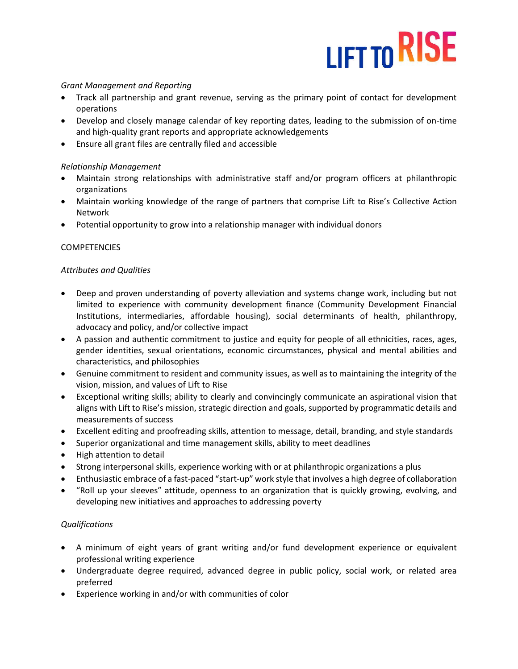# LIFT TO RISE

## *Grant Management and Reporting*

- Track all partnership and grant revenue, serving as the primary point of contact for development operations
- Develop and closely manage calendar of key reporting dates, leading to the submission of on-time and high-quality grant reports and appropriate acknowledgements
- Ensure all grant files are centrally filed and accessible

## *Relationship Management*

- Maintain strong relationships with administrative staff and/or program officers at philanthropic organizations
- Maintain working knowledge of the range of partners that comprise Lift to Rise's Collective Action Network
- Potential opportunity to grow into a relationship manager with individual donors

# **COMPETENCIES**

# *Attributes and Qualities*

- Deep and proven understanding of poverty alleviation and systems change work, including but not limited to experience with community development finance (Community Development Financial Institutions, intermediaries, affordable housing), social determinants of health, philanthropy, advocacy and policy, and/or collective impact
- A passion and authentic commitment to justice and equity for people of all ethnicities, races, ages, gender identities, sexual orientations, economic circumstances, physical and mental abilities and characteristics, and philosophies
- Genuine commitment to resident and community issues, as well as to maintaining the integrity of the vision, mission, and values of Lift to Rise
- Exceptional writing skills; ability to clearly and convincingly communicate an aspirational vision that aligns with Lift to Rise's mission, strategic direction and goals, supported by programmatic details and measurements of success
- Excellent editing and proofreading skills, attention to message, detail, branding, and style standards
- Superior organizational and time management skills, ability to meet deadlines
- High attention to detail
- Strong interpersonal skills, experience working with or at philanthropic organizations a plus
- Enthusiastic embrace of a fast-paced "start-up" work style that involves a high degree of collaboration
- "Roll up your sleeves" attitude, openness to an organization that is quickly growing, evolving, and developing new initiatives and approaches to addressing poverty

### *Qualifications*

- A minimum of eight years of grant writing and/or fund development experience or equivalent professional writing experience
- Undergraduate degree required, advanced degree in public policy, social work, or related area preferred
- Experience working in and/or with communities of color